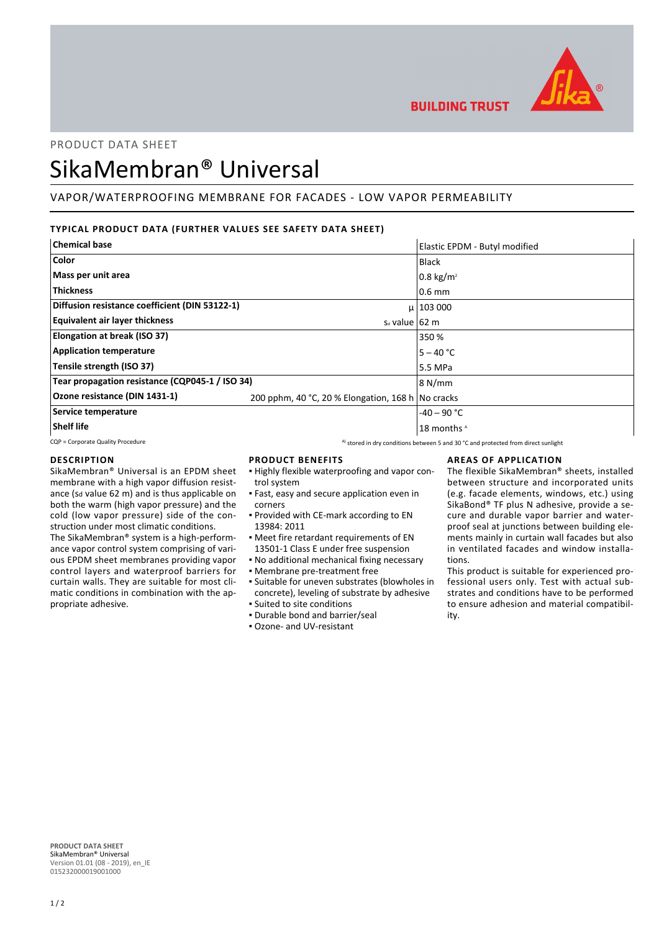

**BUILDING TRUST** 

## PRODUCT DATA SHEET

# SikaMembran® Universal

## VAPOR/WATERPROOFING MEMBRANE FOR FACADES - LOW VAPOR PERMEABILITY

## **TYPICAL PRODUCT DATA (FURTHER VALUES SEE SAFETY DATA SHEET)**

| <b>Chemical base</b>                            |                                                   | Elastic EPDM - Butyl modified |
|-------------------------------------------------|---------------------------------------------------|-------------------------------|
| Color                                           |                                                   | <b>Black</b>                  |
| Mass per unit area                              |                                                   | $0.8 \text{ kg/m}^2$          |
| <b>Thickness</b>                                |                                                   | $0.6$ mm                      |
| Diffusion resistance coefficient (DIN 53122-1)  |                                                   | $\mu$   103 000               |
| <b>Equivalent air layer thickness</b>           | $s_d$ value $\vert$ 62 m                          |                               |
| Elongation at break (ISO 37)                    |                                                   | 350 %                         |
| <b>Application temperature</b>                  |                                                   | $5 - 40 °C$                   |
| Tensile strength (ISO 37)                       |                                                   | 5.5 MPa                       |
| Tear propagation resistance (CQP045-1 / ISO 34) |                                                   | 8 N/mm                        |
| Ozone resistance (DIN 1431-1)                   | 200 pphm, 40 °C, 20 % Elongation, 168 h No cracks |                               |
| Service temperature                             |                                                   | $-40 - 90$ °C                 |
| Shelf life                                      |                                                   | 18 months <sup>A</sup>        |

CQP = Corporate Quality Procedure A) stored in dry conditions between 5 and 30 °C and protected from direct sunlight

### **DESCRIPTION**

SikaMembran® Universal is an EPDM sheet membrane with a high vapor diffusion resistance (sd value 62 m) and is thus applicable on both the warm (high vapor pressure) and the cold (low vapor pressure) side of the construction under most climatic conditions. The SikaMembran® system is a high-perform-

ance vapor control system comprising of various EPDM sheet membranes providing vapor control layers and waterproof barriers for curtain walls. They are suitable for most climatic conditions in combination with the appropriate adhesive.

**PRODUCT BENEFITS**

- Highly flexible waterproofing and vapor con-▪ trol system
- Fast, easy and secure application even in corners
- **Provided with CE-mark according to EN** 13984: 2011
- Meet fire retardant requirements of EN 13501-1 Class E under free suspension
- No additional mechanical fixing necessary
- Membrane pre-treatment free
- Suitable for uneven substrates (blowholes in concrete), leveling of substrate by adhesive ▪ Suited to site conditions
- Durable bond and barrier/seal
- Ozone- and UV-resistant

## **AREAS OF APPLICATION**

The flexible SikaMembran® sheets, installed between structure and incorporated units (e.g. facade elements, windows, etc.) using SikaBond® TF plus N adhesive, provide a secure and durable vapor barrier and waterproof seal at junctions between building elements mainly in curtain wall facades but also in ventilated facades and window installations.

This product is suitable for experienced professional users only. Test with actual substrates and conditions have to be performed to ensure adhesion and material compatibility.

**PRODUCT DATA SHEET** SikaMembran® Universal Version 01.01 (08 - 2019), en\_IE 015232000019001000